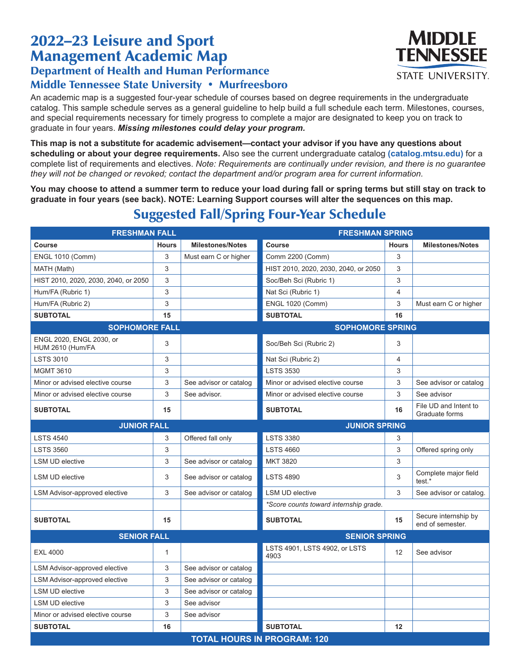## 2022–23 Leisure and Sport Management Academic Map Department of Health and Human Performance Middle Tennessee State University • Murfreesboro

An academic map is a suggested four-year schedule of courses based on degree requirements in the undergraduate catalog. This sample schedule serves as a general guideline to help build a full schedule each term. Milestones, courses, and special requirements necessary for timely progress to complete a major are designated to keep you on track to graduate in four years. *Missing milestones could delay your program.*

**This map is not a substitute for academic advisement—contact your advisor if you have any questions about scheduling or about your degree requirements.** Also see the current undergraduate catalog **(catalog.mtsu.edu)** for a complete list of requirements and electives. *Note: Requirements are continually under revision, and there is no guarantee they will not be changed or revoked; contact the department and/or program area for current information.*

**You may choose to attend a summer term to reduce your load during fall or spring terms but still stay on track to graduate in four years (see back). NOTE: Learning Support courses will alter the sequences on this map.**

| <b>FRESHMAN FALL</b>                         |              | <b>FRESHMAN SPRING</b>  |                                        |                |                                          |  |
|----------------------------------------------|--------------|-------------------------|----------------------------------------|----------------|------------------------------------------|--|
| Course                                       | <b>Hours</b> | <b>Milestones/Notes</b> | Course                                 | <b>Hours</b>   | <b>Milestones/Notes</b>                  |  |
| <b>ENGL 1010 (Comm)</b>                      | 3            | Must earn C or higher   | Comm 2200 (Comm)                       | 3              |                                          |  |
| MATH (Math)                                  | 3            |                         | HIST 2010, 2020, 2030, 2040, or 2050   | 3              |                                          |  |
| HIST 2010, 2020, 2030, 2040, or 2050         | 3            |                         | Soc/Beh Sci (Rubric 1)                 | 3              |                                          |  |
| Hum/FA (Rubric 1)                            | 3            |                         | Nat Sci (Rubric 1)                     | $\overline{4}$ |                                          |  |
| Hum/FA (Rubric 2)                            | 3            |                         | <b>ENGL 1020 (Comm)</b>                | 3              | Must earn C or higher                    |  |
| <b>SUBTOTAL</b>                              | 15           |                         | <b>SUBTOTAL</b>                        | 16             |                                          |  |
| <b>SOPHOMORE FALL</b>                        |              |                         | <b>SOPHOMORE SPRING</b>                |                |                                          |  |
| ENGL 2020, ENGL 2030, or<br>HUM 2610 (Hum/FA | 3            |                         | Soc/Beh Sci (Rubric 2)                 | 3              |                                          |  |
| <b>LSTS 3010</b>                             | 3            |                         | Nat Sci (Rubric 2)                     | 4              |                                          |  |
| <b>MGMT 3610</b>                             | 3            |                         | <b>LSTS 3530</b>                       | 3              |                                          |  |
| Minor or advised elective course             | 3            | See advisor or catalog  | Minor or advised elective course       | 3              | See advisor or catalog                   |  |
| Minor or advised elective course             | 3            | See advisor.            | Minor or advised elective course       | 3              | See advisor                              |  |
| <b>SUBTOTAL</b>                              | 15           |                         | <b>SUBTOTAL</b>                        | 16             | File UD and Intent to<br>Graduate forms  |  |
| <b>JUNIOR FALL</b>                           |              |                         | <b>JUNIOR SPRING</b>                   |                |                                          |  |
| <b>LSTS 4540</b>                             | 3            | Offered fall only       | <b>LSTS 3380</b>                       | 3              |                                          |  |
| <b>LSTS 3560</b>                             | 3            |                         | <b>LSTS 4660</b>                       | 3              | Offered spring only                      |  |
| <b>LSM UD elective</b>                       | 3            | See advisor or catalog  | <b>MKT 3820</b>                        | 3              |                                          |  |
| <b>LSM UD elective</b>                       | 3            | See advisor or catalog  | <b>LSTS 4890</b>                       | 3              | Complete major field<br>test.*           |  |
| LSM Advisor-approved elective                | 3            | See advisor or catalog  | <b>LSM UD elective</b>                 | 3              | See advisor or catalog.                  |  |
|                                              |              |                         | *Score counts toward internship grade. |                |                                          |  |
| <b>SUBTOTAL</b>                              | 15           |                         | <b>SUBTOTAL</b>                        | 15             | Secure internship by<br>end of semester. |  |
| <b>SENIOR FALL</b>                           |              |                         | <b>SENIOR SPRING</b>                   |                |                                          |  |
| <b>EXL 4000</b>                              | 1            |                         | LSTS 4901, LSTS 4902, or LSTS<br>4903  | 12             | See advisor                              |  |
| LSM Advisor-approved elective                | 3            | See advisor or catalog  |                                        |                |                                          |  |
| LSM Advisor-approved elective                | 3            | See advisor or catalog  |                                        |                |                                          |  |
| <b>LSM UD elective</b>                       | 3            | See advisor or catalog  |                                        |                |                                          |  |
| <b>LSM UD elective</b>                       | 3            | See advisor             |                                        |                |                                          |  |
| Minor or advised elective course             | 3            | See advisor             |                                        |                |                                          |  |
| <b>SUBTOTAL</b>                              | 16           |                         | <b>SUBTOTAL</b>                        | 12             |                                          |  |
| <b>TOTAL HOURS IN PROGRAM: 120</b>           |              |                         |                                        |                |                                          |  |

## Suggested Fall/Spring Four-Year Schedule